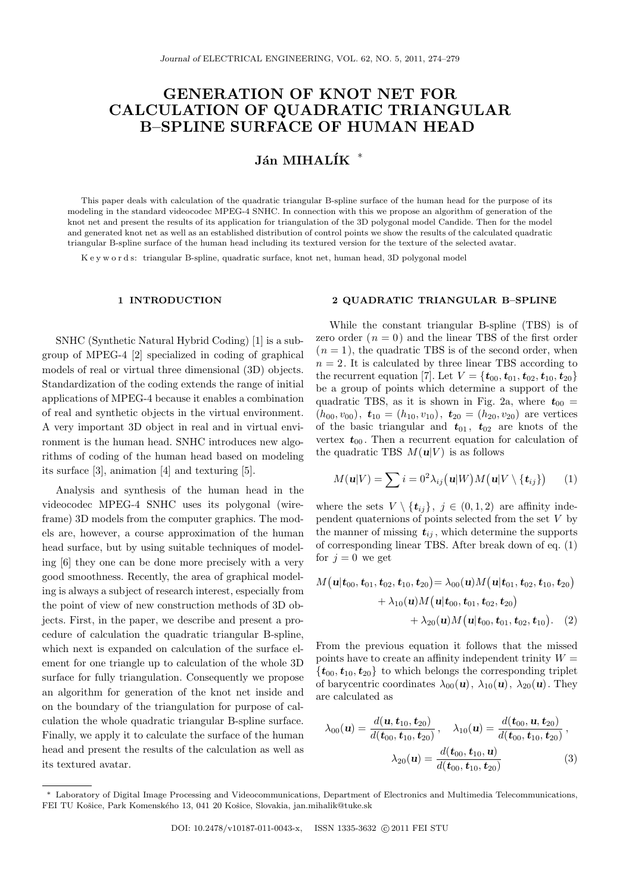# **GENERATION OF KNOT NET FOR CALCULATION OF QUADRATIC TRIANGULAR B–SPLINE SURFACE OF HUMAN HEAD**

## **J´an MIHAL´IK** *<sup>∗</sup>*

This paper deals with calculation of the quadratic triangular B-spline surface of the human head for the purpose of its modeling in the standard videocodec MPEG-4 SNHC. In connection with this we propose an algorithm of generation of the knot net and present the results of its application for triangulation of the 3D polygonal model Candide. Then for the model and generated knot net as well as an established distribution of control points we show the results of the calculated quadratic triangular B-spline surface of the human head including its textured version for the texture of the selected avatar.

K e y w o r d s: triangular B-spline, quadratic surface, knot net, human head, 3D polygonal model

#### **1 INTRODUCTION**

SNHC (Synthetic Natural Hybrid Coding) [1] is a subgroup of MPEG-4 [2] specialized in coding of graphical models of real or virtual three dimensional (3D) objects. Standardization of the coding extends the range of initial applications of MPEG-4 because it enables a combination of real and synthetic objects in the virtual environment. A very important 3D object in real and in virtual environment is the human head. SNHC introduces new algorithms of coding of the human head based on modeling its surface [3], animation [4] and texturing [5].

Analysis and synthesis of the human head in the videocodec MPEG-4 SNHC uses its polygonal (wireframe) 3D models from the computer graphics. The models are, however, a course approximation of the human head surface, but by using suitable techniques of modeling [6] they one can be done more precisely with a very good smoothness. Recently, the area of graphical modeling is always a subject of research interest, especially from the point of view of new construction methods of 3D objects. First, in the paper, we describe and present a procedure of calculation the quadratic triangular B-spline, which next is expanded on calculation of the surface element for one triangle up to calculation of the whole 3D surface for fully triangulation. Consequently we propose an algorithm for generation of the knot net inside and on the boundary of the triangulation for purpose of calculation the whole quadratic triangular B-spline surface. Finally, we apply it to calculate the surface of the human head and present the results of the calculation as well as its textured avatar.

#### **2 QUADRATIC TRIANGULAR B–SPLINE**

While the constant triangular B-spline (TBS) is of zero order  $(n = 0)$  and the linear TBS of the first order  $(n = 1)$ , the quadratic TBS is of the second order, when  $n = 2$ . It is calculated by three linear TBS according to the recurrent equation [7]. Let  $V = \{t_{00}, t_{01}, t_{02}, t_{10}, t_{20}\}$ be a group of points which determine a support of the quadratic TBS, as it is shown in Fig. 2a, where  $t_{00}$  =  $(h_{00}, v_{00}), \mathbf{t}_{10} = (h_{10}, v_{10}), \mathbf{t}_{20} = (h_{20}, v_{20})$  are vertices of the basic triangular and  $t_{01}$ ,  $t_{02}$  are knots of the vertex  $t_{00}$ . Then a recurrent equation for calculation of the quadratic TBS  $M(u|V)$  is as follows

$$
M(\mathbf{u}|V) = \sum_{i=0}^{n} i = 0^2 \lambda_{ij}(\mathbf{u}|W) M(\mathbf{u}|V \setminus {\mathbf{t}_{ij}})
$$
 (1)

where the sets  $V \setminus {\{t_{ij}\}}$ ,  $j \in (0,1,2)$  are affinity independent quaternions of points selected from the set *V* by the manner of missing  $t_{ij}$ , which determine the supports of corresponding linear TBS. After break down of eq. (1) for  $j = 0$  we get

$$
M\big(\mathbf{u}|\mathbf{t}_{00}, \mathbf{t}_{01}, \mathbf{t}_{02}, \mathbf{t}_{10}, \mathbf{t}_{20}\big) = \lambda_{00}(\mathbf{u})M\big(\mathbf{u}|\mathbf{t}_{01}, \mathbf{t}_{02}, \mathbf{t}_{10}, \mathbf{t}_{20}\big) + \lambda_{10}(\mathbf{u})M\big(\mathbf{u}|\mathbf{t}_{00}, \mathbf{t}_{01}, \mathbf{t}_{02}, \mathbf{t}_{20}\big) + \lambda_{20}(\mathbf{u})M\big(\mathbf{u}|\mathbf{t}_{00}, \mathbf{t}_{01}, \mathbf{t}_{02}, \mathbf{t}_{10}\big). \tag{2}
$$

From the previous equation it follows that the missed points have to create an affinity independent trinity  $W =$  ${t_{00}, t_{10}, t_{20}}$  to which belongs the corresponding triplet of barycentric coordinates  $\lambda_{00}(\mathbf{u}), \lambda_{10}(\mathbf{u}), \lambda_{20}(\mathbf{u})$ . They are calculated as

$$
\lambda_{00}(\mathbf{u}) = \frac{d(\mathbf{u}, \mathbf{t}_{10}, \mathbf{t}_{20})}{d(\mathbf{t}_{00}, \mathbf{t}_{10}, \mathbf{t}_{20})}, \quad \lambda_{10}(\mathbf{u}) = \frac{d(\mathbf{t}_{00}, \mathbf{u}, \mathbf{t}_{20})}{d(\mathbf{t}_{00}, \mathbf{t}_{10}, \mathbf{t}_{20})},
$$

$$
\lambda_{20}(\mathbf{u}) = \frac{d(\mathbf{t}_{00}, \mathbf{t}_{10}, \mathbf{u})}{d(\mathbf{t}_{00}, \mathbf{t}_{10}, \mathbf{t}_{20})}
$$
(3)

*<sup>∗</sup>* Laboratory of Digital Image Processing and Videocommunications, Department of Electronics and Multimedia Telecommunications, FEI TU Košice, Park Komenského 13, 041 20 Košice, Slovakia, jan.mihalik@tuke.sk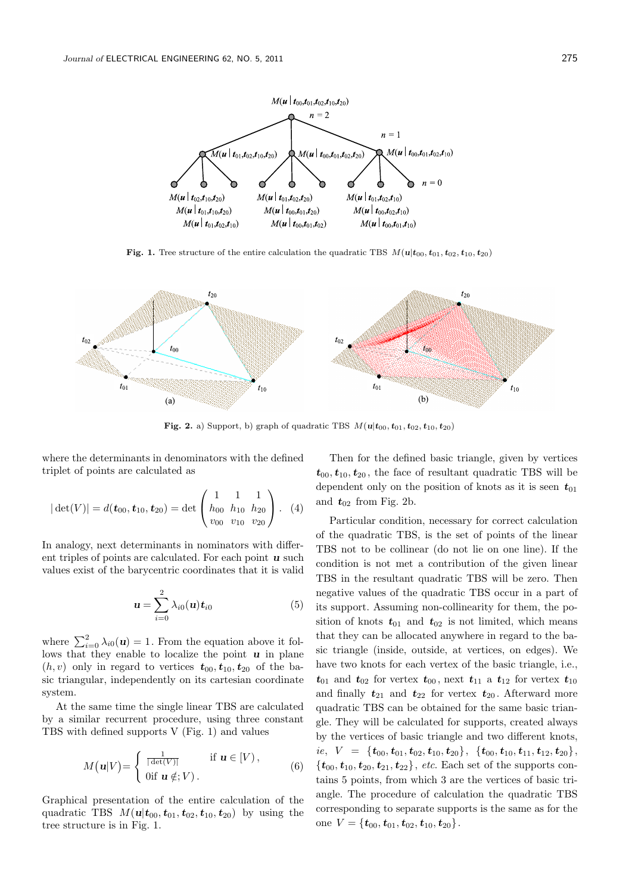

**Fig. 1.** Tree structure of the entire calculation the quadratic TBS  $M(\mathbf{u}|t_{00}, t_{01}, t_{02}, t_{10}, t_{20})$ 



**Fig. 2.** a) Support, b) graph of quadratic TBS  $M(u|t_{00}, t_{01}, t_{02}, t_{10}, t_{20})$ 

where the determinants in denominators with the defined triplet of points are calculated as

$$
|\det(V)| = d(\mathbf{t}_{00}, \mathbf{t}_{10}, \mathbf{t}_{20}) = \det\begin{pmatrix} 1 & 1 & 1 \\ h_{00} & h_{10} & h_{20} \\ v_{00} & v_{10} & v_{20} \end{pmatrix}.
$$
 (4)

In analogy, next determinants in nominators with different triples of points are calculated. For each point *u* such values exist of the barycentric coordinates that it is valid

$$
\mathbf{u} = \sum_{i=0}^{2} \lambda_{i0}(\mathbf{u}) \mathbf{t}_{i0} \tag{5}
$$

where  $\sum_{i=0}^{2} \lambda_{i0}(\mathbf{u}) = 1$ . From the equation above it follows that they enable to localize the point *u* in plane  $(h, v)$  only in regard to vertices  $t_{00}, t_{10}, t_{20}$  of the basic triangular, independently on its cartesian coordinate system.

At the same time the single linear TBS are calculated by a similar recurrent procedure, using three constant TBS with defined supports V (Fig. 1) and values

$$
M(\mathbf{u}|V) = \begin{cases} \frac{1}{|\det(V)|} & \text{if } \mathbf{u} \in [V), \\ 0 & \text{if } \mathbf{u} \notin V \end{cases}
$$
 (6)

Graphical presentation of the entire calculation of the quadratic TBS  $M(u|t_{00}, t_{01}, t_{02}, t_{10}, t_{20})$  by using the tree structure is in Fig. 1.

Then for the defined basic triangle, given by vertices  $t_{00}, t_{10}, t_{20}$ , the face of resultant quadratic TBS will be dependent only on the position of knots as it is seen  $t_{01}$ and  $t_{02}$  from Fig. 2b.

Particular condition, necessary for correct calculation of the quadratic TBS, is the set of points of the linear TBS not to be collinear (do not lie on one line). If the condition is not met a contribution of the given linear TBS in the resultant quadratic TBS will be zero. Then negative values of the quadratic TBS occur in a part of its support. Assuming non-collinearity for them, the position of knots  $t_{01}$  and  $t_{02}$  is not limited, which means that they can be allocated anywhere in regard to the basic triangle (inside, outside, at vertices, on edges). We have two knots for each vertex of the basic triangle, i.e.,  $t_{01}$  and  $t_{02}$  for vertex  $t_{00}$ , next  $t_{11}$  a  $t_{12}$  for vertex  $t_{10}$ and finally  $t_{21}$  and  $t_{22}$  for vertex  $t_{20}$ . Afterward more quadratic TBS can be obtained for the same basic triangle. They will be calculated for supports, created always by the vertices of basic triangle and two different knots,  $ie, \ \ V \ = \ \{{\boldsymbol{t}}_{00}, {\boldsymbol{t}}_{01}, {\boldsymbol{t}}_{02}, {\boldsymbol{t}}_{10}, {\boldsymbol{t}}_{20}\}, \ \{{\boldsymbol{t}}_{00}, {\boldsymbol{t}}_{10}, {\boldsymbol{t}}_{11}, {\boldsymbol{t}}_{12}, {\boldsymbol{t}}_{20}\},$  ${t_{00}, t_{10}, t_{20}, t_{21}, t_{22}}$ , *etc.* Each set of the supports contains 5 points, from which 3 are the vertices of basic triangle. The procedure of calculation the quadratic TBS corresponding to separate supports is the same as for the one  $V = \{t_{00}, t_{01}, t_{02}, t_{10}, t_{20}\}.$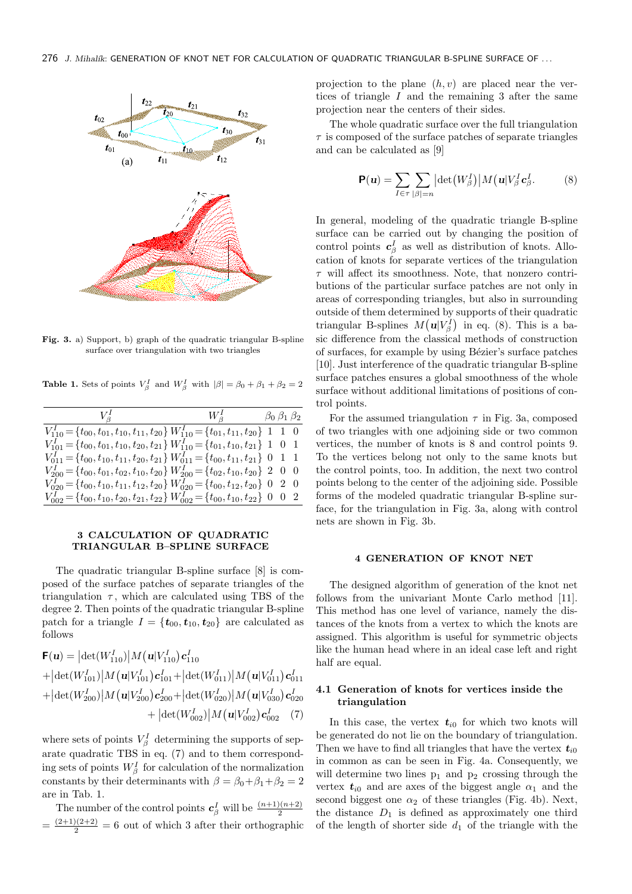

**Fig. 3.** a) Support, b) graph of the quadratic triangular B-spline surface over triangulation with two triangles

**Table 1.** Sets of points  $V_{\beta}^{I}$  and  $W_{\beta}^{I}$  with  $|\beta| = \beta_0 + \beta_1 + \beta_2 = 2$ 

| $V_{\beta}^{I}$ $W_{\beta}^{I}$ $\beta_{0} \beta_{1} \beta_{2}$                                                |  |  |
|----------------------------------------------------------------------------------------------------------------|--|--|
| $V_{110}^I = \{t_{00}, t_{01}, t_{10}, t_{11}, t_{20}\} W_{110}^I = \{t_{01}, t_{11}, t_{20}\}$ 1 1 0          |  |  |
| $V_{101}^I = \{t_{00}, t_{01}, t_{10}, t_{20}, t_{21}\} W_{110}^I = \{t_{01}, t_{10}, t_{21}\}$ 1 0 1          |  |  |
| $V_{011}^I = \{t_{00}, t_{10}, t_{11}, t_{20}, t_{21}\} W_{011}^I = \{t_{00}, t_{11}, t_{21}\} \; 0 \; 1 \; 1$ |  |  |
| $V_{200}^I = \{t_{00}, t_{01}, t_{02}, t_{10}, t_{20}\} W_{200}^I = \{t_{02}, t_{10}, t_{20}\}$ 2 0 0          |  |  |
| $V_{020}^I = \{t_{00}, t_{10}, t_{11}, t_{12}, t_{20}\} W_{020}^I = \{t_{00}, t_{12}, t_{20}\}$ 0 2 0          |  |  |
| $V_{002}^I = \{t_{00}, t_{10}, t_{20}, t_{21}, t_{22}\} W_{002}^I = \{t_{00}, t_{10}, t_{22}\}$ 0 0 2          |  |  |

### **3 CALCULATION OF QUADRATIC TRIANGULAR B–SPLINE SURFACE**

The quadratic triangular B-spline surface [8] is composed of the surface patches of separate triangles of the triangulation  $\tau$ , which are calculated using TBS of the degree 2. Then points of the quadratic triangular B-spline patch for a triangle  $I = \{t_{00}, t_{10}, t_{20}\}$  are calculated as follows

$$
\mathbf{F}(\mathbf{u}) = |\det(W_{110}^{I})| M(\mathbf{u}|V_{110}^{I}) \mathbf{c}_{110}^{I}
$$
  
+ |\det(W\_{101}^{I})| M(\mathbf{u}|V\_{101}^{I}) \mathbf{c}\_{101}^{I} + |\det(W\_{011}^{I})| M(\mathbf{u}|V\_{011}^{I}) \mathbf{c}\_{011}^{I}  
+ |\det(W\_{200}^{I})| M(\mathbf{u}|V\_{200}^{I}) \mathbf{c}\_{200}^{I} + |\det(W\_{020}^{I})| M(\mathbf{u}|V\_{030}^{I}) \mathbf{c}\_{020}^{I}  
+ |\det(W\_{002}^{I})| M(\mathbf{u}|V\_{002}^{I}) \mathbf{c}\_{002}^{I} (7)

where sets of points  $V_\beta^I$  determining the supports of separate quadratic TBS in eq. (7) and to them corresponding sets of points  $W_{\beta}^{I}$  for calculation of the normalization constants by their determinants with  $\beta = \beta_0 + \beta_1 + \beta_2 = 2$ are in Tab. 1.

The number of the control points  $c_{\beta}^{I}$  will be  $\frac{(n+1)(n+2)}{2}$  $=\frac{(2+1)(2+2)}{2}=6$  out of which 3 after their orthographic projection to the plane (*h, v*) are placed near the vertices of triangle *I* and the remaining 3 after the same projection near the centers of their sides.

The whole quadratic surface over the full triangulation *τ* is composed of the surface patches of separate triangles and can be calculated as [9]

$$
\mathbf{P}(\mathbf{u}) = \sum_{I \in \tau} \sum_{|\beta|=n} |\det(W_{\beta}^{I})| M(\mathbf{u} | V_{\beta}^{I} \mathbf{c}_{\beta}^{I}.
$$
 (8)

In general, modeling of the quadratic triangle B-spline surface can be carried out by changing the position of control points  $c_{\beta}^{I}$  as well as distribution of knots. Allocation of knots for separate vertices of the triangulation *τ* will affect its smoothness. Note, that nonzero contributions of the particular surface patches are not only in areas of corresponding triangles, but also in surrounding outside of them determined by supports of their quadratic triangular B-splines  $M(u|V_{\beta}^{I})$  in eq. (8). This is a basic difference from the classical methods of construction of surfaces, for example by using Bézier's surface patches [10]. Just interference of the quadratic triangular B-spline surface patches ensures a global smoothness of the whole surface without additional limitations of positions of control points.

For the assumed triangulation  $\tau$  in Fig. 3a, composed of two triangles with one adjoining side or two common vertices, the number of knots is 8 and control points 9. To the vertices belong not only to the same knots but the control points, too. In addition, the next two control points belong to the center of the adjoining side. Possible forms of the modeled quadratic triangular B-spline surface, for the triangulation in Fig. 3a, along with control nets are shown in Fig. 3b.

#### **4 GENERATION OF KNOT NET**

The designed algorithm of generation of the knot net follows from the univariant Monte Carlo method [11]. This method has one level of variance, namely the distances of the knots from a vertex to which the knots are assigned. This algorithm is useful for symmetric objects like the human head where in an ideal case left and right half are equal.

## **4.1 Generation of knots for vertices inside the triangulation**

In this case, the vertex  $t_{i0}$  for which two knots will be generated do not lie on the boundary of triangulation. Then we have to find all triangles that have the vertex  $t_{i0}$ in common as can be seen in Fig. 4a. Consequently, we will determine two lines  $p_1$  and  $p_2$  crossing through the vertex  $t_{i0}$  and are axes of the biggest angle  $\alpha_1$  and the second biggest one  $\alpha_2$  of these triangles (Fig. 4b). Next, the distance  $D_1$  is defined as approximately one third of the length of shorter side  $d_1$  of the triangle with the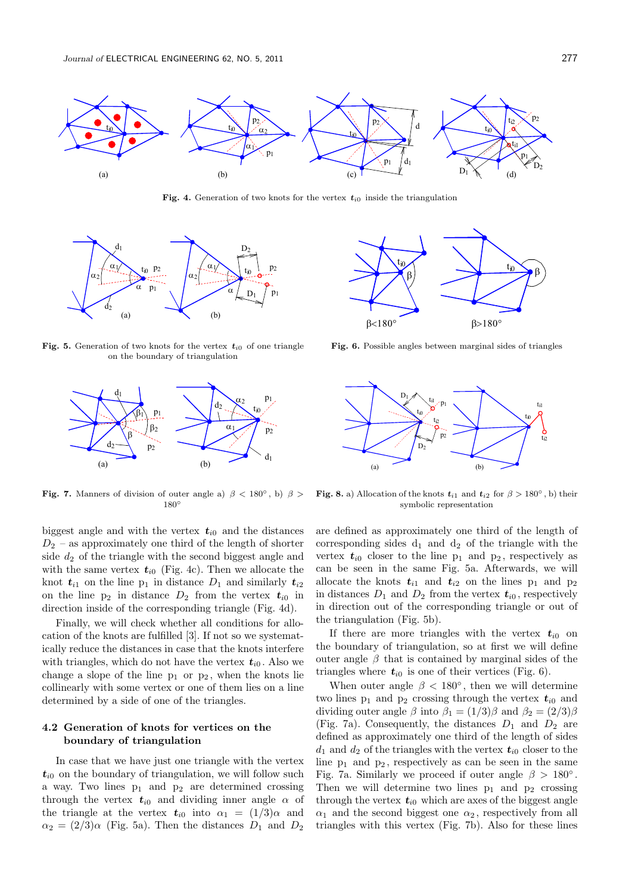

**Fig. 4.** Generation of two knots for the vertex  $t_{i0}$  inside the triangulation



**Fig. 5.** Generation of two knots for the vertex  $t_{i0}$  of one triangle on the boundary of triangulation



**Fig. 7.** Manners of division of outer angle a)  $\beta$  < 180<sup>°</sup>, b)  $\beta$  > 180*◦*

biggest angle and with the vertex  $t_{i0}$  and the distances *D*<sup>2</sup> – as approximately one third of the length of shorter side  $d_2$  of the triangle with the second biggest angle and with the same vertex  $t_{i0}$  (Fig. 4c). Then we allocate the knot  $t_{i1}$  on the line  $p_1$  in distance  $D_1$  and similarly  $t_{i2}$ on the line  $p_2$  in distance  $D_2$  from the vertex  $t_{i0}$  in direction inside of the corresponding triangle (Fig. 4d).

Finally, we will check whether all conditions for allocation of the knots are fulfilled [3]. If not so we systematically reduce the distances in case that the knots interfere with triangles, which do not have the vertex  $t_{i0}$ . Also we change a slope of the line  $p_1$  or  $p_2$ , when the knots lie collinearly with some vertex or one of them lies on a line determined by a side of one of the triangles.

## **4.2 Generation of knots for vertices on the boundary of triangulation**

In case that we have just one triangle with the vertex  $t_{i0}$  on the boundary of triangulation, we will follow such a way. Two lines  $p_1$  and  $p_2$  are determined crossing through the vertex  $t_{i0}$  and dividing inner angle  $\alpha$  of the triangle at the vertex  $t_{i0}$  into  $\alpha_1 = (1/3)\alpha$  and  $\alpha_2 = (2/3)\alpha$  (Fig. 5a). Then the distances  $D_1$  and  $D_2$ 



**Fig. 6.** Possible angles between marginal sides of triangles



**Fig. 8.** a) Allocation of the knots  $t_{i1}$  and  $t_{i2}$  for  $\beta > 180^\circ$ , b) their symbolic representation

are defined as approximately one third of the length of corresponding sides  $d_1$  and  $d_2$  of the triangle with the vertex  $t_{i0}$  closer to the line  $p_1$  and  $p_2$ , respectively as can be seen in the same Fig. 5a. Afterwards, we will allocate the knots  $t_{i1}$  and  $t_{i2}$  on the lines  $p_1$  and  $p_2$ in distances  $D_1$  and  $D_2$  from the vertex  $t_{i0}$ , respectively in direction out of the corresponding triangle or out of the triangulation (Fig. 5b).

If there are more triangles with the vertex  $t_{i0}$  on the boundary of triangulation, so at first we will define outer angle  $\beta$  that is contained by marginal sides of the triangles where  $t_{i0}$  is one of their vertices (Fig. 6).

When outer angle  $\beta$  < 180<sup>°</sup>, then we will determine two lines  $p_1$  and  $p_2$  crossing through the vertex  $t_{i0}$  and dividing outer angle  $\beta$  into  $\beta_1 = (1/3)\beta$  and  $\beta_2 = (2/3)\beta$ (Fig. 7a). Consequently, the distances  $D_1$  and  $D_2$  are defined as approximately one third of the length of sides  $d_1$  and  $d_2$  of the triangles with the vertex  $t_{i0}$  closer to the line  $p_1$  and  $p_2$ , respectively as can be seen in the same Fig. 7a. Similarly we proceed if outer angle  $\beta > 180^\circ$ . Then we will determine two lines  $p_1$  and  $p_2$  crossing through the vertex  $t_{i0}$  which are axes of the biggest angle  $\alpha_1$  and the second biggest one  $\alpha_2$ , respectively from all triangles with this vertex (Fig. 7b). Also for these lines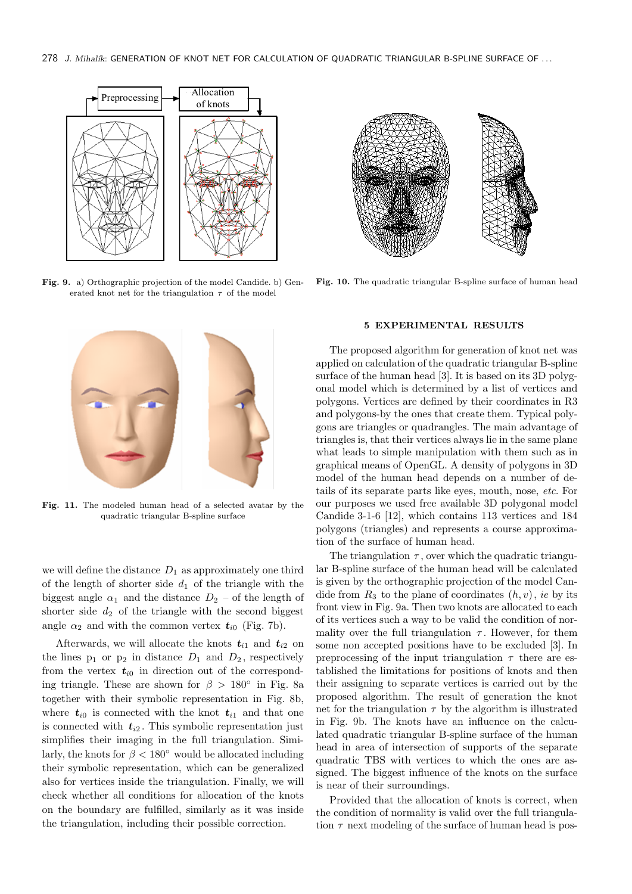

**Fig. 9.** a) Orthographic projection of the model Candide. b) Generated knot net for the triangulation  $\tau$  of the model



**Fig. 11.** The modeled human head of a selected avatar by the quadratic triangular B-spline surface

we will define the distance  $D_1$  as approximately one third of the length of shorter side  $d_1$  of the triangle with the biggest angle  $\alpha_1$  and the distance  $D_2$  – of the length of shorter side  $d_2$  of the triangle with the second biggest angle  $\alpha_2$  and with the common vertex  $t_{i0}$  (Fig. 7b).

Afterwards, we will allocate the knots  $t_{i1}$  and  $t_{i2}$  on the lines  $p_1$  or  $p_2$  in distance  $D_1$  and  $D_2$ , respectively from the vertex  $t_{i0}$  in direction out of the corresponding triangle. These are shown for *β >* 180*◦* in Fig. 8a together with their symbolic representation in Fig. 8b, where  $t_{i0}$  is connected with the knot  $t_{i1}$  and that one is connected with  $t_{i2}$ . This symbolic representation just simplifies their imaging in the full triangulation. Similarly, the knots for  $\beta < 180^\circ$  would be allocated including their symbolic representation, which can be generalized also for vertices inside the triangulation. Finally, we will check whether all conditions for allocation of the knots on the boundary are fulfilled, similarly as it was inside the triangulation, including their possible correction.



**Fig. 10.** The quadratic triangular B-spline surface of human head

### **5 EXPERIMENTAL RESULTS**

The proposed algorithm for generation of knot net was applied on calculation of the quadratic triangular B-spline surface of the human head [3]. It is based on its 3D polygonal model which is determined by a list of vertices and polygons. Vertices are defined by their coordinates in R3 and polygons-by the ones that create them. Typical polygons are triangles or quadrangles. The main advantage of triangles is, that their vertices always lie in the same plane what leads to simple manipulation with them such as in graphical means of OpenGL. A density of polygons in 3D model of the human head depends on a number of details of its separate parts like eyes, mouth, nose, *etc*. For our purposes we used free available 3D polygonal model Candide 3-1-6 [12], which contains 113 vertices and 184 polygons (triangles) and represents a course approximation of the surface of human head.

The triangulation  $\tau$ , over which the quadratic triangular B-spline surface of the human head will be calculated is given by the orthographic projection of the model Candide from  $R_3$  to the plane of coordinates  $(h, v)$ , *ie* by its front view in Fig. 9a. Then two knots are allocated to each of its vertices such a way to be valid the condition of normality over the full triangulation  $\tau$ . However, for them some non accepted positions have to be excluded [3]. In preprocessing of the input triangulation  $\tau$  there are established the limitations for positions of knots and then their assigning to separate vertices is carried out by the proposed algorithm. The result of generation the knot net for the triangulation  $\tau$  by the algorithm is illustrated in Fig. 9b. The knots have an influence on the calculated quadratic triangular B-spline surface of the human head in area of intersection of supports of the separate quadratic TBS with vertices to which the ones are assigned. The biggest influence of the knots on the surface is near of their surroundings.

Provided that the allocation of knots is correct, when the condition of normality is valid over the full triangulation  $\tau$  next modeling of the surface of human head is pos-